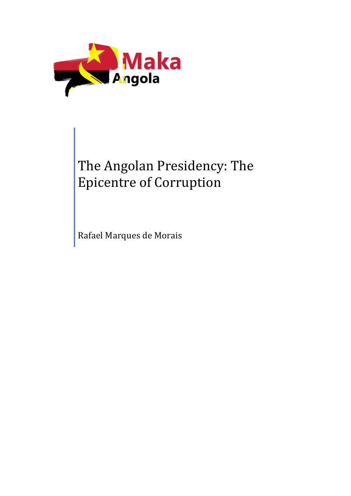

# The Angolan Presidency: The Epicentre of Corruption

Rafael Marques de Morais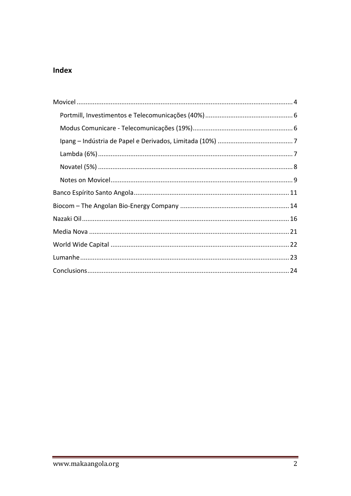## Index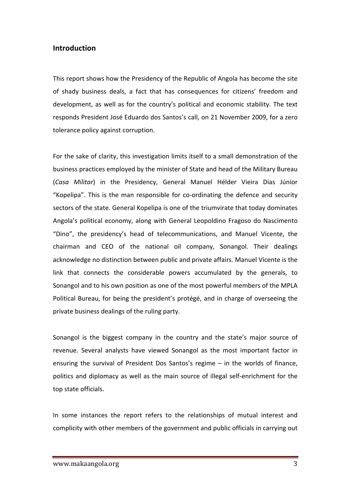#### **Introduction**

This report shows how the Presidency of the Republic of Angola has become the site of shady business deals, a fact that has consequences for citizens' freedom and development, as well as for the country's political and economic stability. The text responds President José Eduardo dos Santos's call, on 21 November 2009, for a zero tolerance policy against corruption.

For the sake of clarity, this investigation limits itself to a small demonstration of the business practices employed by the minister of State and head of the Military Bureau (Casa Militar) in the Presidency, General Manuel Hélder Vieira Dias Júnior "Kopelipa". This is the man responsible for co-ordinating the defence and security sectors of the state. General Kopelipa is one of the triumvirate that today dominates Angola's political economy, along with General Leopoldino Fragoso do Nascimento "Dino", the presidency's head of telecommunications, and Manuel Vicente, the chairman and CEO of the national oil company, Sonangol. Their dealings acknowledge no distinction between public and private affairs. Manuel Vicente is the link that connects the considerable powers accumulated by the generals, to Sonangol and to his own position as one of the most powerful members of the MPLA Political Bureau, for being the president's protégé, and in charge of overseeing the private business dealings of the ruling party.

Sonangol is the biggest company in the country and the state's major source of revenue. Several analysts have viewed Sonangol as the most important factor in ensuring the survival of President Dos Santos's regime  $-$  in the worlds of finance, politics and diplomacy as well as the main source of illegal self-enrichment for the top state officials.

In some instances the report refers to the relationships of mutual interest and complicity with other members of the government and public officials in carrying out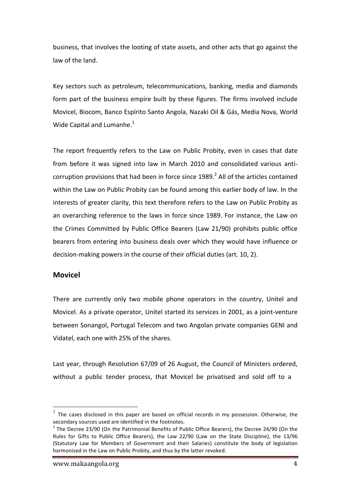business, that involves the looting of state assets, and other acts that go against the law of the land.

Key sectors such as petroleum, telecommunications, banking, media and diamonds form part of the business empire built by these figures. The firms involved include Movicel, Biocom, Banco Espírito Santo Angola, Nazaki Oil & Gás, Media Nova, World Wide Capital and Lumanhe. $<sup>1</sup>$ </sup>

The report frequently refers to the Law on Public Probity, even in cases that date from before it was signed into law in March 2010 and consolidated various anticorruption provisions that had been in force since  $1989<sup>2</sup>$  All of the articles contained within the Law on Public Probity can be found among this earlier body of law. In the interests of greater clarity, this text therefore refers to the Law on Public Probity as an overarching reference to the laws in force since 1989. For instance, the Law on the Crimes Committed by Public Office Bearers (Law 21/90) prohibits public office bearers from entering into business deals over which they would have influence or decision-making powers in the course of their official duties (art. 10, 2).

#### **Movicel**

There are currently only two mobile phone operators in the country, Unitel and Movicel. As a private operator, Unitel started its services in 2001, as a joint-venture between Sonangol, Portugal Telecom and two Angolan private companies GENI and Vidatel, each one with 25% of the shares.

Last year, through Resolution 67/09 of 26 August, the Council of Ministers ordered, without a public tender process, that Movicel be privatised and sold off to a

 $1$  The cases disclosed in this paper are based on official records in my possession. Otherwise, the secondary sources used are identified in the footnotes.

 $2$  The Decree 23/90 (On the Patrimonial Benefits of Public Office Bearers), the Decree 24/90 (On the Rules for Gifts to Public Office Bearers), the Law 22/90 (Law on the State Discipline), the 13/96 (Statutory Law for Members of Government and their Salaries) constitute the body of legislation harmonised in the Law on Public Probity, and thus by the latter revoked.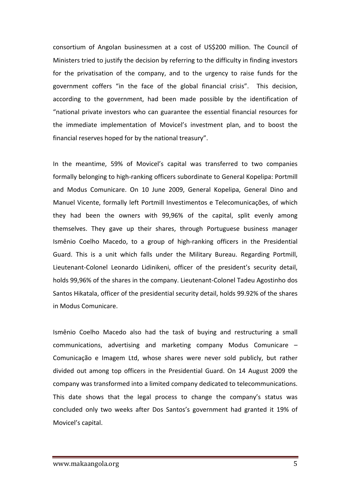consortium of Angolan businessmen at a cost of US\$200 million. The Council of Ministers tried to justify the decision by referring to the difficulty in finding investors for the privatisation of the company, and to the urgency to raise funds for the government coffers "in the face of the global financial crisis". This decision, according to the government, had been made possible by the identification of "national private investors who can guarantee the essential financial resources for the immediate implementation of Movicel's investment plan, and to boost the financial reserves hoped for by the national treasury".

In the meantime, 59% of Movicel's capital was transferred to two companies formally belonging to high-ranking officers subordinate to General Kopelipa: Portmill and Modus Comunicare. On 10 June 2009, General Kopelipa, General Dino and Manuel Vicente, formally left Portmill Investimentos e Telecomunicações, of which they had been the owners with 99,96% of the capital, split evenly among themselves. They gave up their shares, through Portuguese business manager Ismênio Coelho Macedo, to a group of high-ranking officers in the Presidential Guard. This is a unit which falls under the Military Bureau. Regarding Portmill, Lieutenant-Colonel Leonardo Lidinikeni, officer of the president's security detail, holds 99,96% of the shares in the company. Lieutenant-Colonel Tadeu Agostinho dos Santos Hikatala, officer of the presidential security detail, holds 99.92% of the shares in Modus Comunicare.

Ismênio Coelho Macedo also had the task of buying and restructuring a small communications, advertising and marketing company Modus Comunicare  $-$ Comunicação e Imagem Ltd, whose shares were never sold publicly, but rather divided out among top officers in the Presidential Guard. On 14 August 2009 the company was transformed into a limited company dedicated to telecommunications. This date shows that the legal process to change the company's status was concluded only two weeks after Dos Santos's government had granted it 19% of Movicel's capital.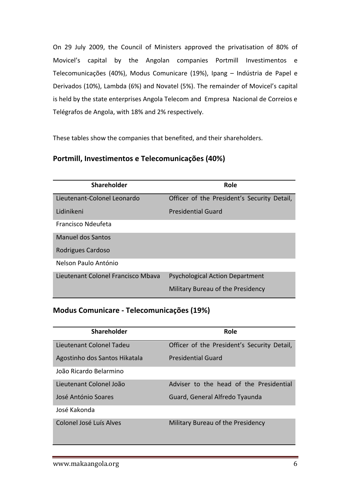On 29 July 2009, the Council of Ministers approved the privatisation of 80% of Movicel's capital by the Angolan companies Portmill Investimentos e Telecomunicações (40%), Modus Comunicare (19%), Ipang - Indústria de Papel e Derivados (10%), Lambda (6%) and Novatel (5%). The remainder of Movicel's capital is held by the state enterprises Angola Telecom and Empresa Nacional de Correios e Telégrafos de Angola, with 18% and 2% respectively.

These tables show the companies that benefited, and their shareholders.

#### **Portmill, Investimentos e Telecomunicações (40%)**

| <b>Shareholder</b>                 | Role                                        |
|------------------------------------|---------------------------------------------|
| Lieutenant-Colonel Leonardo        | Officer of the President's Security Detail, |
| Lidinikeni                         | <b>Presidential Guard</b>                   |
| Francisco Ndeufeta                 |                                             |
| Manuel dos Santos                  |                                             |
| Rodrigues Cardoso                  |                                             |
| Nelson Paulo António               |                                             |
| Lieutenant Colonel Francisco Mbava | <b>Psychological Action Department</b>      |
|                                    | Military Bureau of the Presidency           |

### **Modus Comunicare - Telecomunicações (19%)**

| Shareholder                   | Role                                        |
|-------------------------------|---------------------------------------------|
| Lieutenant Colonel Tadeu      | Officer of the President's Security Detail, |
| Agostinho dos Santos Hikatala | <b>Presidential Guard</b>                   |
| João Ricardo Belarmino        |                                             |
| Lieutenant Colonel João       | Adviser to the head of the Presidential     |
| José António Soares           | Guard, General Alfredo Tyaunda              |
| José Kakonda                  |                                             |
| Colonel José Luís Alves       | Military Bureau of the Presidency           |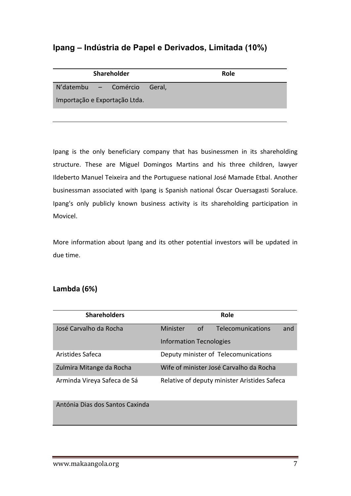# **Ipang – Indústria de Papel e Derivados, Limitada (10%)**

| <b>Shareholder</b>            |  | Role |
|-------------------------------|--|------|
| N'datembu - Comércio Geral,   |  |      |
| Importação e Exportação Ltda. |  |      |

Ipang is the only beneficiary company that has businessmen in its shareholding structure. These are Miguel Domingos Martins and his three children, lawyer Ildeberto Manuel Teixeira and the Portuguese national José Mamade Etbal. Another businessman associated with Ipang is Spanish national Óscar Ouersagasti Soraluce. Ipang's only publicly known business activity is its shareholding participation in Movicel.

More information about Ipang and its other potential investors will be updated in due time.

## **Lambda (6%)**

| <b>Shareholders</b>         |                                |    | Role                                         |     |
|-----------------------------|--------------------------------|----|----------------------------------------------|-----|
| José Carvalho da Rocha      | Minister                       | of | Telecomunications                            | and |
|                             | <b>Information Tecnologies</b> |    |                                              |     |
| Aristides Safeca            |                                |    | Deputy minister of Telecomunications         |     |
| Zulmira Mitange da Rocha    |                                |    | Wife of minister José Carvalho da Rocha      |     |
| Arminda Vireya Safeca de Sá |                                |    | Relative of deputy minister Aristides Safeca |     |

Antónia Dias dos Santos Caxinda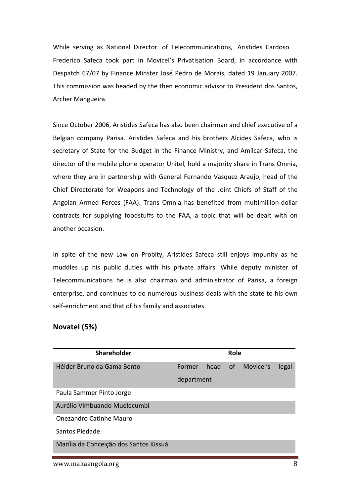While serving as National Director of Telecommunications, Aristides Cardoso Frederico Safeca took part in Movicel's Privatisation Board, in accordance with Despatch 67/07 by Finance Minster José Pedro de Morais, dated 19 January 2007. This commission was headed by the then economic advisor to President dos Santos, Archer Mangueira.

Since October 2006, Aristides Safeca has also been chairman and chief executive of a Belgian company Parisa. Aristides Safeca and his brothers Alcides Safeca, who is secretary of State for the Budget in the Finance Ministry, and Amílcar Safeca, the director of the mobile phone operator Unitel, hold a majority share in Trans Omnia, where they are in partnership with General Fernando Vasquez Araújo, head of the Chief Directorate for Weapons and Technology of the Joint Chiefs of Staff of the Angolan Armed Forces (FAA). Trans Omnia has benefited from multimillion-dollar contracts for supplying foodstuffs to the FAA, a topic that will be dealt with on another occasion.

In spite of the new Law on Probity, Aristides Safeca still enjoys impunity as he muddles up his public duties with his private affairs. While deputy minister of Telecommunications he is also chairman and administrator of Parisa, a foreign enterprise, and continues to do numerous business deals with the state to his own self-enrichment and that of his family and associates.

#### **Novatel (5%)**

| <b>Shareholder</b>                     |            |      | <b>Role</b>   |           |       |
|----------------------------------------|------------|------|---------------|-----------|-------|
| Hélder Bruno da Gama Bento             | Former     | head | <sub>of</sub> | Movicel's | legal |
|                                        | department |      |               |           |       |
| Paula Sammer Pinto Jorge               |            |      |               |           |       |
| Aurélio Vimbuando Muelecumbi           |            |      |               |           |       |
| <b>Onezandro Catinhe Mauro</b>         |            |      |               |           |       |
| Santos Piedade                         |            |      |               |           |       |
| Marília da Conceição dos Santos Kissuá |            |      |               |           |       |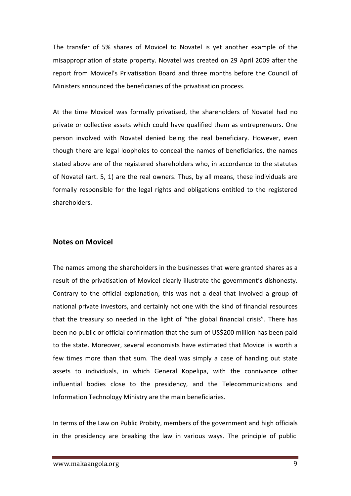The transfer of 5% shares of Movicel to Novatel is yet another example of the misappropriation of state property. Novatel was created on 29 April 2009 after the report from Movicel's Privatisation Board and three months before the Council of Ministers announced the beneficiaries of the privatisation process.

At the time Movicel was formally privatised, the shareholders of Novatel had no private or collective assets which could have qualified them as entrepreneurs. One person involved with Novatel denied being the real beneficiary. However, even though there are legal loopholes to conceal the names of beneficiaries, the names stated above are of the registered shareholders who, in accordance to the statutes of Novatel (art. 5, 1) are the real owners. Thus, by all means, these individuals are formally responsible for the legal rights and obligations entitled to the registered shareholders.

#### **Notes on Movicel**

The names among the shareholders in the businesses that were granted shares as a result of the privatisation of Movicel clearly illustrate the government's dishonesty. Contrary to the official explanation, this was not a deal that involved a group of national private investors, and certainly not one with the kind of financial resources that the treasury so needed in the light of "the global financial crisis". There has been no public or official confirmation that the sum of US\$200 million has been paid to the state. Moreover, several economists have estimated that Movicel is worth a few times more than that sum. The deal was simply a case of handing out state assets to individuals, in which General Kopelipa, with the connivance other influential bodies close to the presidency, and the Telecommunications and Information Technology Ministry are the main beneficiaries.

In terms of the Law on Public Probity, members of the government and high officials in the presidency are breaking the law in various ways. The principle of public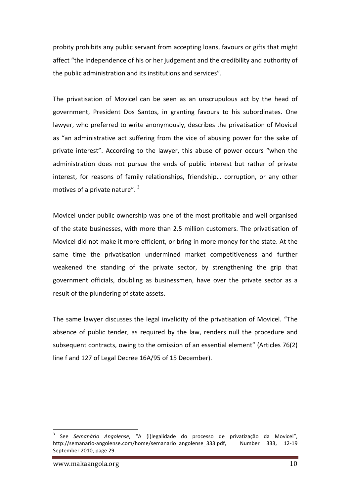probity prohibits any public servant from accepting loans, favours or gifts that might affect "the independence of his or her judgement and the credibility and authority of the public administration and its institutions and services".

The privatisation of Movicel can be seen as an unscrupulous act by the head of government, President Dos Santos, in granting favours to his subordinates. One lawyer, who preferred to write anonymously, describes the privatisation of Movicel as "an administrative act suffering from the vice of abusing power for the sake of private interest". According to the lawyer, this abuse of power occurs "when the administration does not pursue the ends of public interest but rather of private interest, for reasons of family relationships, friendship... corruption, or any other motives of a private nature".  $3$ 

Movicel under public ownership was one of the most profitable and well organised of the state businesses, with more than 2.5 million customers. The privatisation of Movicel did not make it more efficient, or bring in more money for the state. At the same time the privatisation undermined market competitiveness and further weakened the standing of the private sector, by strengthening the grip that government officials, doubling as businessmen, have over the private sector as a result of the plundering of state assets.

The same lawyer discusses the legal invalidity of the privatisation of Movicel. "The absence of public tender, as required by the law, renders null the procedure and subsequent contracts, owing to the omission of an essential element" (Articles 76(2) line f and 127 of Legal Decree 16A/95 of 15 December).

See Semanário Angolense, "A (i)legalidade do processo de privatização da Movicel", http://semanario-angolense.com/home/semanario\_angolense\_333.pdf, Mumber 333, 12-19 September 2010, page 29.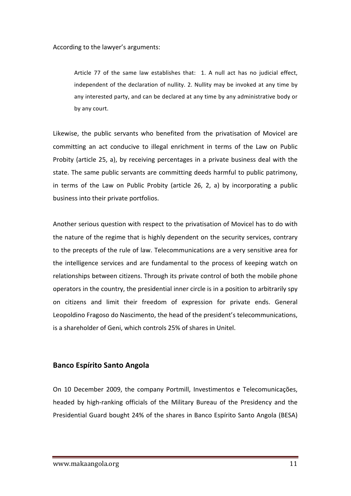According to the lawyer's arguments:

Article 77 of the same law establishes that: 1. A null act has no judicial effect, independent of the declaration of nullity. 2. Nullity may be invoked at any time by any interested party, and can be declared at any time by any administrative body or by any court.

Likewise, the public servants who benefited from the privatisation of Movicel are committing an act conducive to illegal enrichment in terms of the Law on Public Probity (article 25, a), by receiving percentages in a private business deal with the state. The same public servants are committing deeds harmful to public patrimony, in terms of the Law on Public Probity (article  $26$ ,  $2$ , a) by incorporating a public business into their private portfolios.

Another serious question with respect to the privatisation of Movicel has to do with the nature of the regime that is highly dependent on the security services, contrary to the precepts of the rule of law. Telecommunications are a very sensitive area for the intelligence services and are fundamental to the process of keeping watch on relationships between citizens. Through its private control of both the mobile phone operators in the country, the presidential inner circle is in a position to arbitrarily spy on citizens and limit their freedom of expression for private ends. General Leopoldino Fragoso do Nascimento, the head of the president's telecommunications, is a shareholder of Geni, which controls 25% of shares in Unitel.

#### **Banco Espírito Santo Angola**

On 10 December 2009, the company Portmill, Investimentos e Telecomunicações, headed by high-ranking officials of the Military Bureau of the Presidency and the Presidential Guard bought 24% of the shares in Banco Espírito Santo Angola (BESA)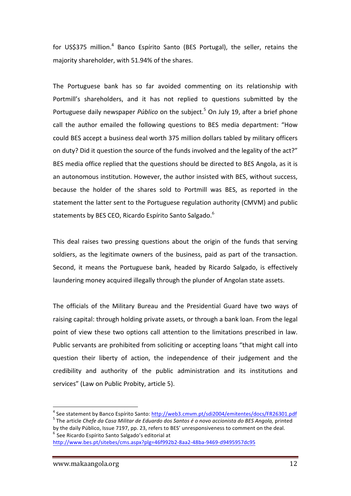for US\$375 million.<sup>4</sup> Banco Espírito Santo (BES Portugal), the seller, retains the majority shareholder, with 51.94% of the shares.

The Portuguese bank has so far avoided commenting on its relationship with Portmill's shareholders, and it has not replied to questions submitted by the Portuguese daily newspaper *Público* on the subject.<sup>5</sup> On July 19, after a brief phone call the author emailed the following questions to BES media department: "How could BES accept a business deal worth 375 million dollars tabled by military officers on duty? Did it question the source of the funds involved and the legality of the act?" BES media office replied that the questions should be directed to BES Angola, as it is an autonomous institution. However, the author insisted with BES, without success, because the holder of the shares sold to Portmill was BES, as reported in the statement the latter sent to the Portuguese regulation authority (CMVM) and public statements by BES CEO, Ricardo Espírito Santo Salgado.<sup>6</sup>

This deal raises two pressing questions about the origin of the funds that serving soldiers, as the legitimate owners of the business, paid as part of the transaction. Second, it means the Portuguese bank, headed by Ricardo Salgado, is effectively laundering money acquired illegally through the plunder of Angolan state assets.

The officials of the Military Bureau and the Presidential Guard have two ways of raising capital: through holding private assets, or through a bank loan. From the legal point of view these two options call attention to the limitations prescribed in law. Public servants are prohibited from soliciting or accepting loans "that might call into question their liberty of action, the independence of their judgement and the credibility and authority of the public administration and its institutions and services" (Law on Public Probity, article 5).

<sup>&</sup>lt;sup>4</sup> See statement by Banco Espírito Santo: http://web3.cmvm.pt/sdi2004/emitentes/docs/FR26301.pdf<br><sup>5</sup> The article *Chefe da Casa Militar de Eduardo dos Santos é o novo accionista do BES Angola, printed* 

by the daily Público, Issue 7197, pp. 23, refers to BES' unresponsiveness to comment on the deal.<br><sup>6</sup> See Ricardo Espírito Santo Salgado's editorial at

http://www.bes.pt/sitebes/cms.aspx?plg=46f992b2-8aa2-48ba-9469-d9495957dc95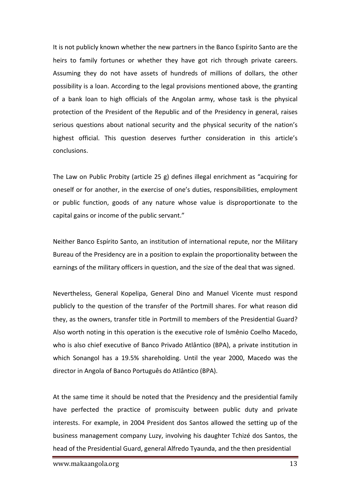It is not publicly known whether the new partners in the Banco Espírito Santo are the heirs to family fortunes or whether they have got rich through private careers. Assuming they do not have assets of hundreds of millions of dollars, the other possibility is a loan. According to the legal provisions mentioned above, the granting of a bank loan to high officials of the Angolan army, whose task is the physical protection of the President of the Republic and of the Presidency in general, raises serious questions about national security and the physical security of the nation's highest official. This question deserves further consideration in this article's conclusions.

The Law on Public Probity (article 25 g) defines illegal enrichment as "acquiring for oneself or for another, in the exercise of one's duties, responsibilities, employment or public function, goods of any nature whose value is disproportionate to the capital gains or income of the public servant."

Neither Banco Espírito Santo, an institution of international repute, nor the Military Bureau of the Presidency are in a position to explain the proportionality between the earnings of the military officers in question, and the size of the deal that was signed.

Nevertheless, General Kopelipa, General Dino and Manuel Vicente must respond publicly to the question of the transfer of the Portmill shares. For what reason did they, as the owners, transfer title in Portmill to members of the Presidential Guard? Also worth noting in this operation is the executive role of Ismênio Coelho Macedo, who is also chief executive of Banco Privado Atlântico (BPA), a private institution in which Sonangol has a 19.5% shareholding. Until the year 2000, Macedo was the director in Angola of Banco Português do Atlântico (BPA).

At the same time it should be noted that the Presidency and the presidential family have perfected the practice of promiscuity between public duty and private interests. For example, in 2004 President dos Santos allowed the setting up of the business management company Luzy, involving his daughter Tchizé dos Santos, the head of the Presidential Guard, general Alfredo Tyaunda, and the then presidential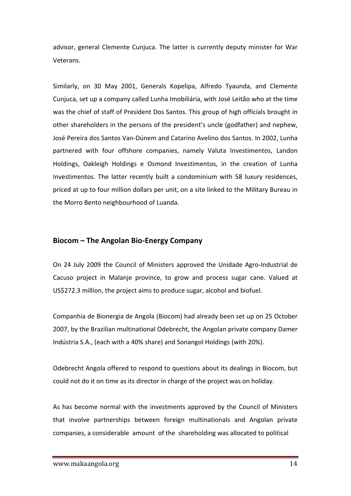advisor, general Clemente Cunjuca. The latter is currently deputy minister for War Veterans. 

Similarly, on 30 May 2001, Generals Kopelipa, Alfredo Tyaunda, and Clemente Cunjuca, set up a company called Lunha Imobiliária, with José Leitão who at the time was the chief of staff of President Dos Santos. This group of high officials brought in other shareholders in the persons of the president's uncle (godfather) and nephew, José Pereira dos Santos Van-Dúnem and Catarino Avelino dos Santos. In 2002, Lunha partnered with four offshore companies, namely Valuta Investimentos, Landon Holdings, Oakleigh Holdings e Osmond Investimentos, in the creation of Lunha Investimentos. The latter recently built a condominium with 58 luxury residences, priced at up to four million dollars per unit, on a site linked to the Military Bureau in the Morro Bento neighbourhood of Luanda.

#### **Biocom – The Angolan Bio-Energy Company**

On 24 July 2009 the Council of Ministers approved the Unidade Agro-Industrial de Cacuso project in Malanje province, to grow and process sugar cane. Valued at US\$272.3 million, the project aims to produce sugar, alcohol and biofuel.

Companhia de Bionergia de Angola (Biocom) had already been set up on 25 October 2007, by the Brazilian multinational Odebrecht, the Angolan private company Damer Indústria S.A., (each with a 40% share) and Sonangol Holdings (with 20%).

Odebrecht Angola offered to respond to questions about its dealings in Biocom, but could not do it on time as its director in charge of the project was on holiday.

As has become normal with the investments approved by the Council of Ministers that involve partnerships between foreign multinationals and Angolan private companies, a considerable amount of the shareholding was allocated to political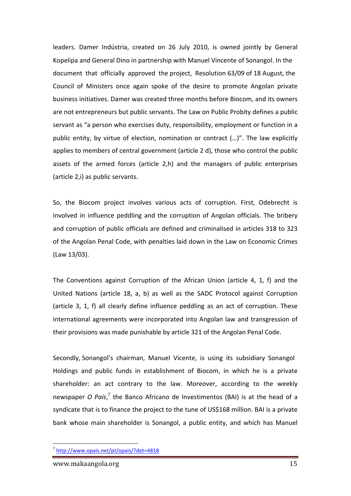leaders. Damer Indústria, created on 26 July 2010, is owned jointly by General Kopelipa and General Dino in partnership with Manuel Vincente of Sonangol. In the document that officially approved the project, Resolution 63/09 of 18 August, the Council of Ministers once again spoke of the desire to promote Angolan private business initiatives. Damer was created three months before Biocom, and its owners are not entrepreneurs but public servants. The Law on Public Probity defines a public servant as "a person who exercises duty, responsibility, employment or function in a public entity, by virtue of election, nomination or contract (...)". The law explicitly applies to members of central government (article 2 d), those who control the public assets of the armed forces (article 2,h) and the managers of public enterprises (article 2,i) as public servants.

So, the Biocom project involves various acts of corruption. First, Odebrecht is involved in influence peddling and the corruption of Angolan officials. The bribery and corruption of public officials are defined and criminalised in articles 318 to 323 of the Angolan Penal Code, with penalties laid down in the Law on Economic Crimes (Law 13/03).

The Conventions against Corruption of the African Union (article 4, 1, f) and the United Nations (article 18, a, b) as well as the SADC Protocol against Corruption (article 3, 1, f) all clearly define influence peddling as an act of corruption. These international agreements were incorporated into Angolan law and transgression of their provisions was made punishable by article 321 of the Angolan Penal Code.

Secondly, Sonangol's chairman, Manuel Vicente, is using its subsidiary Sonangol Holdings and public funds in establishment of Biocom, in which he is a private shareholder: an act contrary to the law. Moreover, according to the weekly newspaper *O País*,<sup>7</sup> the Banco Africano de Investimentos (BAI) is at the head of a syndicate that is to finance the project to the tune of US\$168 million. BAI is a private bank whose main shareholder is Sonangol, a public entity, and which has Manuel

<sup>7</sup> http://www.opais.net/pt/opais/?det=4818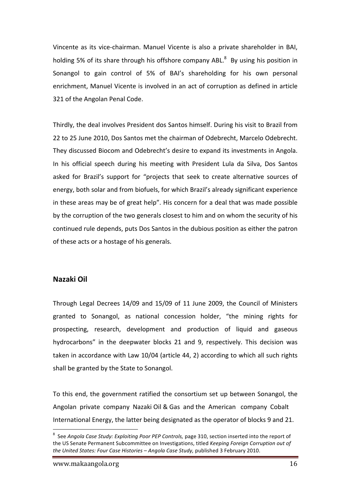Vincente as its vice-chairman. Manuel Vicente is also a private shareholder in BAI, holding 5% of its share through his offshore company ABL.<sup>8</sup> By using his position in Sonangol to gain control of 5% of BAI's shareholding for his own personal enrichment, Manuel Vicente is involved in an act of corruption as defined in article 321 of the Angolan Penal Code.

Thirdly, the deal involves President dos Santos himself. During his visit to Brazil from 22 to 25 June 2010, Dos Santos met the chairman of Odebrecht, Marcelo Odebrecht. They discussed Biocom and Odebrecht's desire to expand its investments in Angola. In his official speech during his meeting with President Lula da Silva, Dos Santos asked for Brazil's support for "projects that seek to create alternative sources of energy, both solar and from biofuels, for which Brazil's already significant experience in these areas may be of great help". His concern for a deal that was made possible by the corruption of the two generals closest to him and on whom the security of his continued rule depends, puts Dos Santos in the dubious position as either the patron of these acts or a hostage of his generals.

#### **Nazaki Oil**

Through Legal Decrees 14/09 and 15/09 of 11 June 2009, the Council of Ministers granted to Sonangol, as national concession holder, "the mining rights for prospecting, research, development and production of liquid and gaseous hydrocarbons" in the deepwater blocks 21 and 9, respectively. This decision was taken in accordance with Law 10/04 (article 44, 2) according to which all such rights shall be granted by the State to Sonangol.

To this end, the government ratified the consortium set up between Sonangol, the Angolan private company Nazaki Oil & Gas and the American company Cobalt International Energy, the latter being designated as the operator of blocks 9 and 21.

<sup>-&</sup>lt;br>8 <sup>8</sup> See Angola Case Study: Exploiting Poor PEP Controls, page 310, section inserted into the report of the US Senate Permanent Subcommittee on Investigations, titled *Keeping Foreign Corruption out of* the United States: Four Case Histories – Angola Case Study, published 3 February 2010.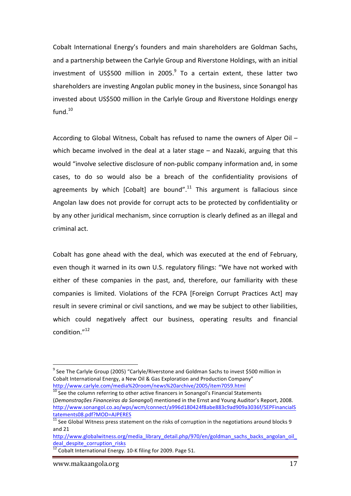Cobalt International Energy's founders and main shareholders are Goldman Sachs, and a partnership between the Carlyle Group and Riverstone Holdings, with an initial investment of US\$500 million in 2005. $9$  To a certain extent, these latter two shareholders are investing Angolan public money in the business, since Sonangol has invested about US\$500 million in the Carlyle Group and Riverstone Holdings energy fund. 10

According to Global Witness, Cobalt has refused to name the owners of Alper Oil – which became involved in the deal at a later stage  $-$  and Nazaki, arguing that this would "involve selective disclosure of non-public company information and, in some cases, to do so would also be a breach of the confidentiality provisions of agreements by which [Cobalt] are bound".<sup>11</sup> This argument is fallacious since Angolan law does not provide for corrupt acts to be protected by confidentiality or by any other juridical mechanism, since corruption is clearly defined as an illegal and criminal act.

Cobalt has gone ahead with the deal, which was executed at the end of February, even though it warned in its own U.S. regulatory filings: "We have not worked with either of these companies in the past, and, therefore, our familiarity with these companies is limited. Violations of the FCPA [Foreign Corrupt Practices Act] may result in severe criminal or civil sanctions, and we may be subject to other liabilities, which could negatively affect our business, operating results and financial condition."<sup>12</sup>

 $\frac{10}{10}$  See the column referring to other active financers in Sonangol's Financial Statements (*Demonstrações Financeiras da Sonangol*) mentioned in the Ernst and Young Auditor's Report, 2008. http://www.sonangol.co.ao/wps/wcm/connect/a996d180424f8abe883c9ad909a3036f/SEPFinancialS tatements08.pdf?MOD=AJPERES

 $9$  See The Carlyle Group (2005) "Carlyle/Riverstone and Goldman Sachs to invest \$500 million in Cobalt International Energy, a New Oil & Gas Exploration and Production Company" http://www.carlyle.com/media%20room/news%20archive/2005/item7059.html

 $11$  See Global Witness press statement on the risks of corruption in the negotiations around blocks 9 and 21

http://www.globalwitness.org/media\_library\_detail.php/970/en/goldman\_sachs\_backs\_angolan\_oil deal despite corruption risks

<sup>&</sup>lt;sup>12</sup> Cobalt International Energy. 10-K filing for 2009. Page 51.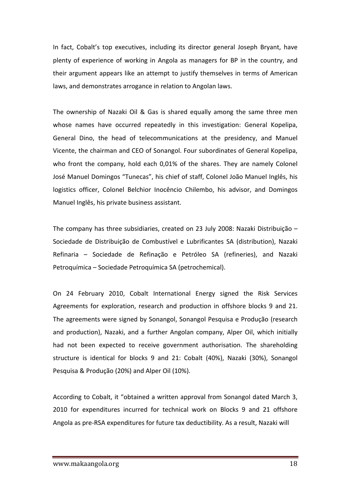In fact, Cobalt's top executives, including its director general Joseph Bryant, have plenty of experience of working in Angola as managers for BP in the country, and their argument appears like an attempt to justify themselves in terms of American laws, and demonstrates arrogance in relation to Angolan laws.

The ownership of Nazaki Oil & Gas is shared equally among the same three men whose names have occurred repeatedly in this investigation: General Kopelipa, General Dino, the head of telecommunications at the presidency, and Manuel Vicente, the chairman and CEO of Sonangol. Four subordinates of General Kopelipa, who front the company, hold each 0,01% of the shares. They are namely Colonel José Manuel Domingos "Tunecas", his chief of staff, Colonel João Manuel Inglês, his logistics officer, Colonel Belchior Inocêncio Chilembo, his advisor, and Domingos Manuel Inglês, his private business assistant.

The company has three subsidiaries, created on 23 July 2008: Nazaki Distribuição – Sociedade de Distribuição de Combustível e Lubrificantes SA (distribution), Nazaki Refinaria – Sociedade de Refinação e Petróleo SA (refineries), and Nazaki Petroquímica – Sociedade Petroquímica SA (petrochemical).

On 24 February 2010, Cobalt International Energy signed the Risk Services Agreements for exploration, research and production in offshore blocks 9 and 21. The agreements were signed by Sonangol, Sonangol Pesquisa e Produção (research and production), Nazaki, and a further Angolan company, Alper Oil, which initially had not been expected to receive government authorisation. The shareholding structure is identical for blocks 9 and 21: Cobalt  $(40%)$ , Nazaki  $(30%)$ , Sonangol Pesquisa & Produção (20%) and Alper Oil (10%).

According to Cobalt, it "obtained a written approval from Sonangol dated March 3, 2010 for expenditures incurred for technical work on Blocks 9 and 21 offshore Angola as pre-RSA expenditures for future tax deductibility. As a result, Nazaki will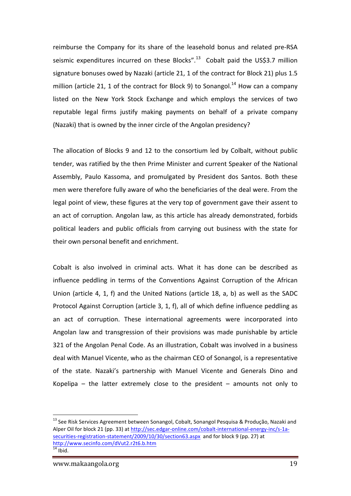reimburse the Company for its share of the leasehold bonus and related pre-RSA seismic expenditures incurred on these Blocks".<sup>13</sup> Cobalt paid the US\$3.7 million signature bonuses owed by Nazaki (article 21, 1 of the contract for Block 21) plus 1.5 million (article 21, 1 of the contract for Block 9) to Sonangol.<sup>14</sup> How can a company listed on the New York Stock Exchange and which employs the services of two reputable legal firms justify making payments on behalf of a private company (Nazaki) that is owned by the inner circle of the Angolan presidency?

The allocation of Blocks 9 and 12 to the consortium led by Colbalt, without public tender, was ratified by the then Prime Minister and current Speaker of the National Assembly, Paulo Kassoma, and promulgated by President dos Santos. Both these men were therefore fully aware of who the beneficiaries of the deal were. From the legal point of view, these figures at the very top of government gave their assent to an act of corruption. Angolan law, as this article has already demonstrated, forbids political leaders and public officials from carrying out business with the state for their own personal benefit and enrichment.

Cobalt is also involved in criminal acts. What it has done can be described as influence peddling in terms of the Conventions Against Corruption of the African Union (article 4, 1, f) and the United Nations (article 18, a, b) as well as the SADC Protocol Against Corruption (article 3, 1, f), all of which define influence peddling as an act of corruption. These international agreements were incorporated into Angolan law and transgression of their provisions was made punishable by article 321 of the Angolan Penal Code. As an illustration, Cobalt was involved in a business deal with Manuel Vicente, who as the chairman CEO of Sonangol, is a representative of the state. Nazaki's partnership with Manuel Vicente and Generals Dino and Kopelipa  $-$  the latter extremely close to the president  $-$  amounts not only to

 $13$  See Risk Services Agreement between Sonangol, Cobalt, Sonangol Pesquisa & Produção, Nazaki and Alper Oil for block 21 (pp. 33) at http://sec.edgar-online.com/cobalt-international-energy-inc/s-1asecurities-registration-statement/2009/10/30/section63.aspx and for block 9 (pp. 27) at http://www.secinfo.com/dVut2.r2t6.b.htm  $\frac{14}{14}$  Ibid.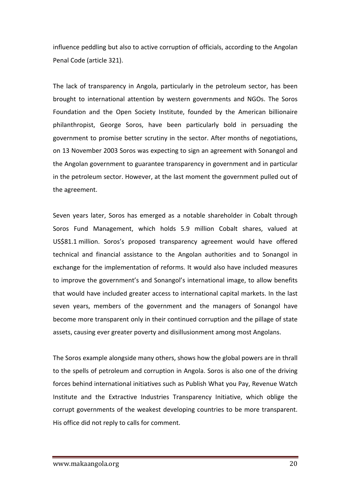influence peddling but also to active corruption of officials, according to the Angolan Penal Code (article 321).

The lack of transparency in Angola, particularly in the petroleum sector, has been brought to international attention by western governments and NGOs. The Soros Foundation and the Open Society Institute, founded by the American billionaire philanthropist, George Soros, have been particularly bold in persuading the government to promise better scrutiny in the sector. After months of negotiations, on 13 November 2003 Soros was expecting to sign an agreement with Sonangol and the Angolan government to guarantee transparency in government and in particular in the petroleum sector. However, at the last moment the government pulled out of the agreement.

Seven years later, Soros has emerged as a notable shareholder in Cobalt through Soros Fund Management, which holds 5.9 million Cobalt shares, valued at US\$81.1 million. Soros's proposed transparency agreement would have offered technical and financial assistance to the Angolan authorities and to Sonangol in exchange for the implementation of reforms. It would also have included measures to improve the government's and Sonangol's international image, to allow benefits that would have included greater access to international capital markets. In the last seven years, members of the government and the managers of Sonangol have become more transparent only in their continued corruption and the pillage of state assets, causing ever greater poverty and disillusionment among most Angolans.

The Soros example alongside many others, shows how the global powers are in thrall to the spells of petroleum and corruption in Angola. Soros is also one of the driving forces behind international initiatives such as Publish What you Pay, Revenue Watch Institute and the Extractive Industries Transparency Initiative, which oblige the corrupt governments of the weakest developing countries to be more transparent. His office did not reply to calls for comment.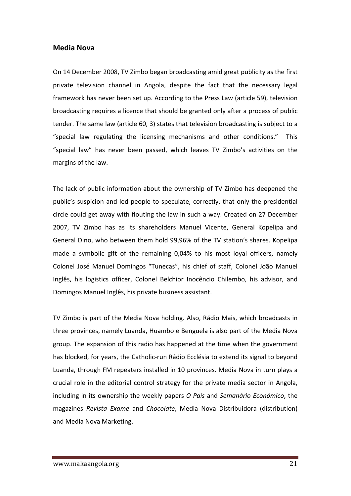#### **Media Nova**

On 14 December 2008, TV Zimbo began broadcasting amid great publicity as the first private television channel in Angola, despite the fact that the necessary legal framework has never been set up. According to the Press Law (article 59), television broadcasting requires a licence that should be granted only after a process of public tender. The same law (article 60, 3) states that television broadcasting is subject to a "special law regulating the licensing mechanisms and other conditions." This "special law" has never been passed, which leaves TV Zimbo's activities on the margins of the law.

The lack of public information about the ownership of TV Zimbo has deepened the public's suspicion and led people to speculate, correctly, that only the presidential circle could get away with flouting the law in such a way. Created on 27 December 2007, TV Zimbo has as its shareholders Manuel Vicente, General Kopelipa and General Dino, who between them hold 99,96% of the TV station's shares. Kopelipa made a symbolic gift of the remaining 0,04% to his most loyal officers, namely Colonel José Manuel Domingos "Tunecas", his chief of staff, Colonel João Manuel Inglês, his logistics officer, Colonel Belchior Inocêncio Chilembo, his advisor, and Domingos Manuel Inglês, his private business assistant.

TV Zimbo is part of the Media Nova holding. Also, Rádio Mais, which broadcasts in three provinces, namely Luanda, Huambo e Benguela is also part of the Media Nova group. The expansion of this radio has happened at the time when the government has blocked, for years, the Catholic-run Rádio Ecclésia to extend its signal to beyond Luanda, through FM repeaters installed in 10 provinces. Media Nova in turn plays a crucial role in the editorial control strategy for the private media sector in Angola, including in its ownership the weekly papers *O País* and *Semanário Económico*, the magazines *Revista Exame* and *Chocolate*, Media Nova Distribuidora (distribution) and Media Nova Marketing.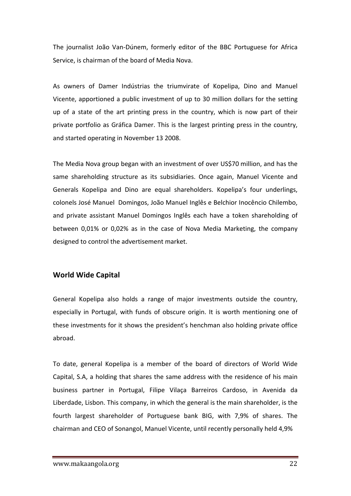The journalist João Van-Dúnem, formerly editor of the BBC Portuguese for Africa Service, is chairman of the board of Media Nova.

As owners of Damer Indústrias the triumvirate of Kopelipa, Dino and Manuel Vicente, apportioned a public investment of up to 30 million dollars for the setting up of a state of the art printing press in the country, which is now part of their private portfolio as Gráfica Damer. This is the largest printing press in the country, and started operating in November 13 2008.

The Media Nova group began with an investment of over US\$70 million, and has the same shareholding structure as its subsidiaries. Once again, Manuel Vicente and Generals Kopelipa and Dino are equal shareholders. Kopelipa's four underlings, colonels José Manuel Domingos, João Manuel Inglês e Belchior Inocêncio Chilembo, and private assistant Manuel Domingos Inglês each have a token shareholding of between 0,01% or 0,02% as in the case of Nova Media Marketing, the company designed to control the advertisement market.

#### **World Wide Capital**

General Kopelipa also holds a range of major investments outside the country, especially in Portugal, with funds of obscure origin. It is worth mentioning one of these investments for it shows the president's henchman also holding private office abroad.

To date, general Kopelipa is a member of the board of directors of World Wide Capital, S.A, a holding that shares the same address with the residence of his main business partner in Portugal, Filipe Vilaça Barreiros Cardoso, in Avenida da Liberdade, Lisbon. This company, in which the general is the main shareholder, is the fourth largest shareholder of Portuguese bank BIG, with 7,9% of shares. The chairman and CEO of Sonangol, Manuel Vicente, until recently personally held 4,9%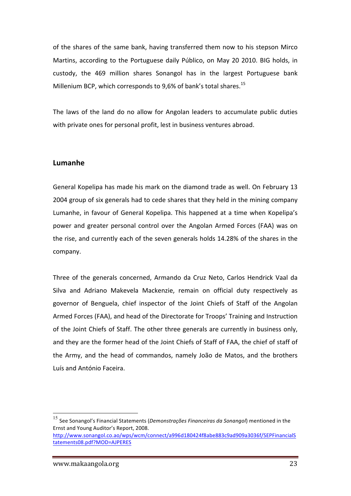of the shares of the same bank, having transferred them now to his stepson Mirco Martins, according to the Portuguese daily Público, on May 20 2010. BIG holds, in custody, the 469 million shares Sonangol has in the largest Portuguese bank Millenium BCP, which corresponds to 9.6% of bank's total shares.<sup>15</sup>

The laws of the land do no allow for Angolan leaders to accumulate public duties with private ones for personal profit, lest in business ventures abroad.

#### **Lumanhe**

General Kopelipa has made his mark on the diamond trade as well. On February 13 2004 group of six generals had to cede shares that they held in the mining company Lumanhe, in favour of General Kopelipa. This happened at a time when Kopelipa's power and greater personal control over the Angolan Armed Forces (FAA) was on the rise, and currently each of the seven generals holds 14.28% of the shares in the company.

Three of the generals concerned, Armando da Cruz Neto, Carlos Hendrick Vaal da Silva and Adriano Makevela Mackenzie, remain on official duty respectively as governor of Benguela, chief inspector of the Joint Chiefs of Staff of the Angolan Armed Forces (FAA), and head of the Directorate for Troops' Training and Instruction of the Joint Chiefs of Staff. The other three generals are currently in business only, and they are the former head of the Joint Chiefs of Staff of FAA, the chief of staff of the Army, and the head of commandos, namely João de Matos, and the brothers Luís and António Faceira.

<sup>&</sup>lt;sup>15</sup> See Sonangol's Financial Statements (*Demonstrações Financeiras da Sonangol*) mentioned in the Ernst and Young Auditor's Report, 2008.

http://www.sonangol.co.ao/wps/wcm/connect/a996d180424f8abe883c9ad909a3036f/SEPFinancialS tatements08.pdf?MOD=AJPERES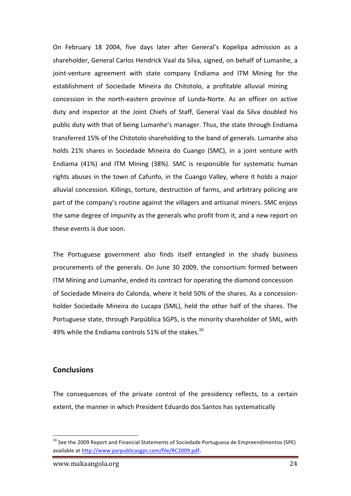On February 18 2004, five days later after General's Kopelipa admission as a shareholder, General Carlos Hendrick Vaal da Silva, signed, on behalf of Lumanhe, a joint-venture agreement with state company Endiama and ITM Mining for the establishment of Sociedade Mineira do Chitotolo, a profitable alluvial mining concession in the north-eastern province of Lunda-Norte. As an officer on active duty and inspector at the Joint Chiefs of Staff, General Vaal da Silva doubled his public duty with that of being Lumanhe's manager. Thus, the state through Endiama transferred 15% of the Chitotolo shareholding to the band of generals. Lumanhe also holds 21% shares in Sociedade Mineira do Cuango (SMC), in a joint venture with Endiama (41%) and ITM Mining (38%). SMC is responsible for systematic human rights abuses in the town of Cafunfo, in the Cuango Valley, where it holds a major alluvial concession. Killings, torture, destruction of farms, and arbitrary policing are part of the company's routine against the villagers and artisanal miners. SMC enjoys the same degree of impunity as the generals who profit from it, and a new report on these events is due soon.

The Portuguese government also finds itself entangled in the shady business procurements of the generals. On June 30 2009, the consortium formed between ITM Mining and Lumanhe, ended its contract for operating the diamond concession of Sociedade Mineira do Calonda, where it held 50% of the shares. As a concessionholder Sociedade Mineira do Lucapa (SML), held the other half of the shares. The Portuguese state, through Parpública SGPS, is the minority shareholder of SML, with 49% while the Endiama controls 51% of the stakes.<sup>16</sup>

#### **Conclusions**

The consequences of the private control of the presidency reflects, to a certain extent, the manner in which President Eduardo dos Santos has systematically

<sup>&</sup>lt;sup>16</sup> See the 2009 Report and Financial Statements of Sociedade Portuguesa de Empreendimentos (SPE) available at http://www.parpublicasgps.com/file/RC2009.pdf.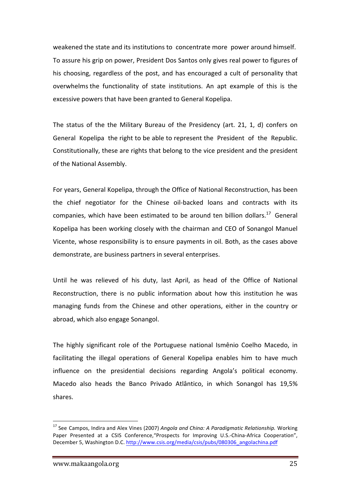weakened the state and its institutions to concentrate more power around himself. To assure his grip on power, President Dos Santos only gives real power to figures of his choosing, regardless of the post, and has encouraged a cult of personality that overwhelms the functionality of state institutions. An apt example of this is the excessive powers that have been granted to General Kopelipa.

The status of the the Military Bureau of the Presidency (art. 21, 1, d) confers on General Kopelipa the right to be able to represent the President of the Republic. Constitutionally, these are rights that belong to the vice president and the president of the National Assembly.

For years, General Kopelipa, through the Office of National Reconstruction, has been the chief negotiator for the Chinese oil-backed loans and contracts with its companies, which have been estimated to be around ten billion dollars.<sup>17</sup> General Kopelipa has been working closely with the chairman and CEO of Sonangol Manuel Vicente, whose responsibility is to ensure payments in oil. Both, as the cases above demonstrate, are business partners in several enterprises.

Until he was relieved of his duty, last April, as head of the Office of National Reconstruction, there is no public information about how this institution he was managing funds from the Chinese and other operations, either in the country or abroad, which also engage Sonangol.

The highly significant role of the Portuguese national Ismênio Coelho Macedo, in facilitating the illegal operations of General Kopelipa enables him to have much influence on the presidential decisions regarding Angola's political economy. Macedo also heads the Banco Privado Atlântico, in which Sonangol has 19,5% shares.

<sup>&</sup>lt;sup>17</sup> See Campos, Indira and Alex Vines (2007) *Angola and China: A Paradigmatic Relationship*. Working Paper Presented at a CSIS Conference,"Prospects for Improving U.S.-China-Africa Cooperation", December 5, Washington D.C. http://www.csis.org/media/csis/pubs/080306\_angolachina.pdf